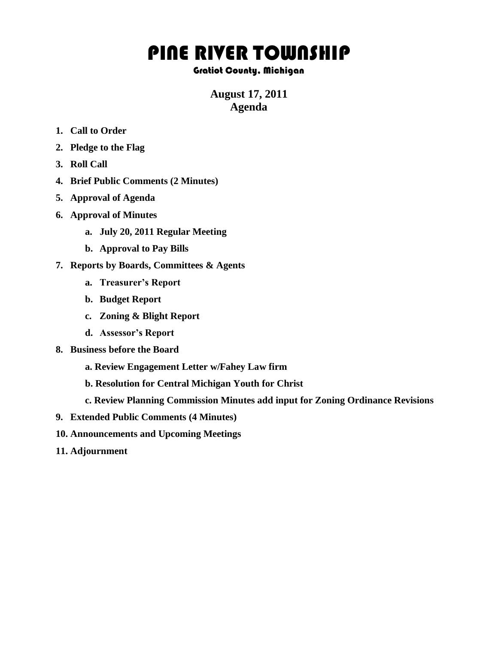## PINE RIVER TOWNSHIP

## Gratiot County, Michigan

## **August 17, 2011 Agenda**

- **1. Call to Order**
- **2. Pledge to the Flag**
- **3. Roll Call**
- **4. Brief Public Comments (2 Minutes)**
- **5. Approval of Agenda**
- **6. Approval of Minutes**
	- **a. July 20, 2011 Regular Meeting**
	- **b. Approval to Pay Bills**
- **7. Reports by Boards, Committees & Agents**
	- **a. Treasurer's Report**
	- **b. Budget Report**
	- **c. Zoning & Blight Report**
	- **d. Assessor's Report**
- **8. Business before the Board**
	- **a. Review Engagement Letter w/Fahey Law firm**
	- **b. Resolution for Central Michigan Youth for Christ**
	- **c. Review Planning Commission Minutes add input for Zoning Ordinance Revisions**
- **9. Extended Public Comments (4 Minutes)**
- **10. Announcements and Upcoming Meetings**
- **11. Adjournment**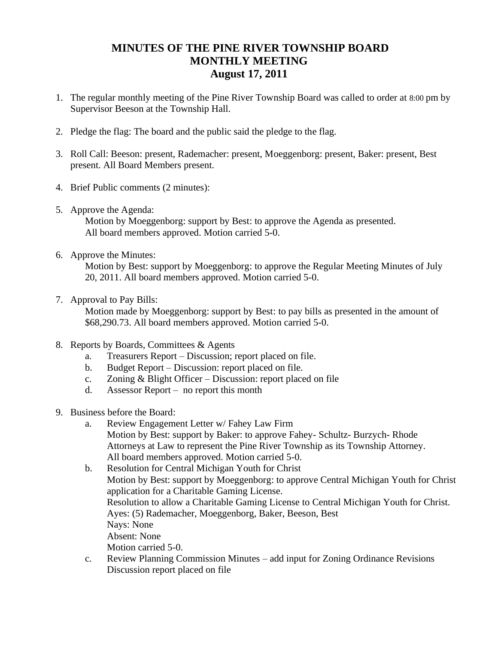## **MINUTES OF THE PINE RIVER TOWNSHIP BOARD MONTHLY MEETING August 17, 2011**

- 1. The regular monthly meeting of the Pine River Township Board was called to order at 8:00 pm by Supervisor Beeson at the Township Hall.
- 2. Pledge the flag: The board and the public said the pledge to the flag.
- 3. Roll Call: Beeson: present, Rademacher: present, Moeggenborg: present, Baker: present, Best present. All Board Members present.
- 4. Brief Public comments (2 minutes):
- 5. Approve the Agenda:

Motion by Moeggenborg: support by Best: to approve the Agenda as presented. All board members approved. Motion carried 5-0.

6. Approve the Minutes:

Motion by Best: support by Moeggenborg: to approve the Regular Meeting Minutes of July 20, 2011. All board members approved. Motion carried 5-0.

7. Approval to Pay Bills:

 Motion made by Moeggenborg: support by Best: to pay bills as presented in the amount of \$68,290.73. All board members approved. Motion carried 5-0.

- 8. Reports by Boards, Committees & Agents
	- a. Treasurers Report Discussion; report placed on file.
	- b. Budget Report Discussion: report placed on file.
	- c. Zoning & Blight Officer Discussion: report placed on file
	- d. Assessor Report no report this month
- 9. Business before the Board:
	- a. Review Engagement Letter w/ Fahey Law Firm Motion by Best: support by Baker: to approve Fahey- Schultz- Burzych- Rhode Attorneys at Law to represent the Pine River Township as its Township Attorney. All board members approved. Motion carried 5-0.

b. Resolution for Central Michigan Youth for Christ Motion by Best: support by Moeggenborg: to approve Central Michigan Youth for Christ application for a Charitable Gaming License. Resolution to allow a Charitable Gaming License to Central Michigan Youth for Christ. Ayes: (5) Rademacher, Moeggenborg, Baker, Beeson, Best Nays: None Absent: None Motion carried 5-0.

c. Review Planning Commission Minutes – add input for Zoning Ordinance Revisions Discussion report placed on file